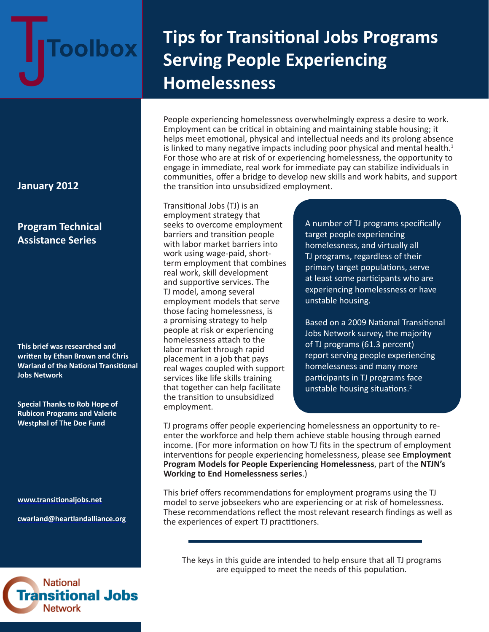# TJ **Toolbox**

# **Tips for Transitional Jobs Programs Serving People Experiencing Homelessness**

People experiencing homelessness overwhelmingly express a desire to work. Employment can be critical in obtaining and maintaining stable housing; it helps meet emotional, physical and intellectual needs and its prolong absence is linked to many negative impacts including poor physical and mental health.<sup>1</sup> For those who are at risk of or experiencing homelessness, the opportunity to engage in immediate, real work for immediate pay can stabilize individuals in communities, offer a bridge to develop new skills and work habits, and support the transition into unsubsidized employment.

Transitional Jobs (TJ) is an employment strategy that seeks to overcome employment barriers and transition people with labor market barriers into work using wage-paid, shortterm employment that combines real work, skill development and supportive services. The TJ model, among several employment models that serve those facing homelessness, is a promising strategy to help people at risk or experiencing homelessness attach to the labor market through rapid placement in a job that pays real wages coupled with support services like life skills training that together can help facilitate the transition to unsubsidized employment.

A number of TJ programs specifically target people experiencing homelessness, and virtually all TJ programs, regardless of their primary target populations, serve at least some participants who are experiencing homelessness or have unstable housing.

Based on a 2009 National Transitional Jobs Network survey, the majority of TJ programs (61.3 percent) report serving people experiencing homelessness and many more participants in TJ programs face unstable housing situations.<sup>2</sup>

TJ programs offer people experiencing homelessness an opportunity to reenter the workforce and help them achieve stable housing through earned income. (For more information on how TJ fits in the spectrum of employment interventions for people experiencing homelessness, please see **[Employment](http://www.heartlandalliance.org/ntjn/ntjn-weh-models-1-24-2012.pdf)  [Program Models for People Experiencing Homelessness](http://www.heartlandalliance.org/ntjn/ntjn-weh-models-1-24-2012.pdf)**, part of the **[NTJN's](http://www.heartlandalliance.org/ntjn/weh-project-briefs.html)  [Working to End Homelessness series](http://www.heartlandalliance.org/ntjn/weh-project-briefs.html)**.)

This brief offers recommendations for employment programs using the TJ model to serve jobseekers who are experiencing or at risk of homelessness. These recommendations reflect the most relevant research findings as well as the experiences of expert TJ practitioners.

The keys in this guide are intended to help ensure that all TJ programs are equipped to meet the needs of this population.

# **January 2012**

# **Program Technical Assistance Series**

**This brief was researched and written by Ethan Brown and Chris Warland of the National Transitional Jobs Network** 

**Special Thanks to Rob Hope of Rubicon Programs and Valerie Westphal of The Doe Fund**

**<www.transitionaljobs.net>**

**cwarlan[d@heartlandalliance.org](mailto:ntjn@heartlandalliance.org)**

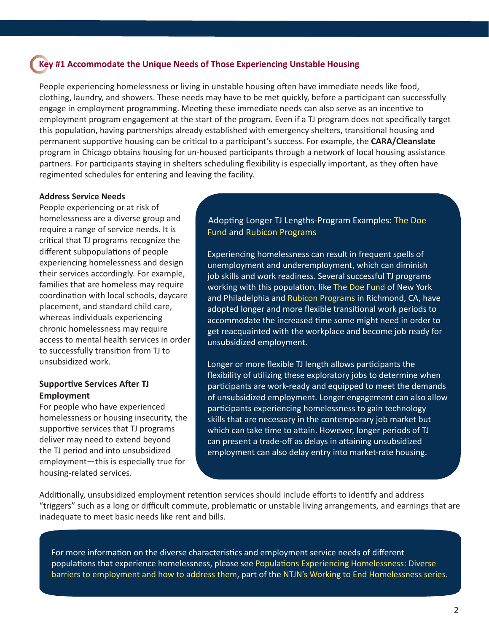#### **Key #1 Accommodate the Unique Needs of Those Experiencing Unstable Housing**

People experiencing homelessness or living in unstable housing often have immediate needs like food, clothing, laundry, and showers. These needs may have to be met quickly, before a participant can successfully engage in employment programming. Meeting these immediate needs can also serve as an incentive to employment program engagement at the start of the program. Even if a TJ program does not specifically target this population, having partnerships already established with emergency shelters, transitional housing and permanent supportive housing can be critical to a participant's success. For example, the **[CARA/Cleanslate](http://www.thecaraprogram.org)**  program in Chicago obtains housing for un-housed participants through a network of local housing assistance partners. For participants staying in shelters scheduling flexibility is especially important, as they often have regimented schedules for entering and leaving the facility.

#### **Address Service Needs**

People experiencing or at risk of homelessness are a diverse group and require a range of service needs. It is critical that TJ programs recognize the different subpopulations of people experiencing homelessness and design their services accordingly. For example, families that are homeless may require coordination with local schools, daycare placement, and standard child care, whereas individuals experiencing chronic homelessness may require access to mental health services in order to successfully transition from TJ to unsubsidized work.

#### **Supportive Services After TJ Employment**

For people who have experienced homelessness or housing insecurity, the supportive services that TJ programs deliver may need to extend beyond the TJ period and into unsubsidized employment—this is especially true for housing-related services.

#### Adopting Longer TJ Lengths-Program Examples: [The Doe](http://www.doe.org)  [Fund](http://www.doe.org) and [Rubicon Programs](http://www.rubiconprograms.org)

Experiencing homelessness can result in frequent spells of unemployment and underemployment, which can diminish job skills and work readiness. Several successful TJ programs working with this population, like The [Doe Fund](http://www.doe.org) of New York and Philadelphia and Rubicon [Programs](http://www.rubiconprograms.org) in Richmond, CA, have adopted longer and more flexible transitional work periods to accommodate the increased time some might need in order to get reacquainted with the workplace and become job ready for unsubsidized employment.

Longer or more flexible TJ length allows participants the flexibility of utilizing these exploratory jobs to determine when participants are work-ready and equipped to meet the demands of unsubsidized employment. Longer engagement can also allow participants experiencing homelessness to gain technology skills that are necessary in the contemporary job market but which can take time to attain. However, longer periods of TJ can present a trade-off as delays in attaining unsubsidized employment can also delay entry into market-rate housing.

Additionally, unsubsidized employment retention services should include efforts to identify and address "triggers" such as a long or difficult commute, problematic or unstable living arrangements, and earnings that are inadequate to meet basic needs like rent and bills.

For more information on the diverse characteristics and employment service needs of different populations that experience homelessness, please see [Populations Experiencing Homelessness: Diverse](http://www.heartlandalliance.org/ntjn/ntjn-weh-populations-1-24-2012.pdf)  [barriers to employment and how to address them](http://www.heartlandalliance.org/ntjn/ntjn-weh-populations-1-24-2012.pdf), part of the [NTJN's Working to End Homelessness series](http://www.heartlandalliance.org/ntjn/weh-project-briefs.html).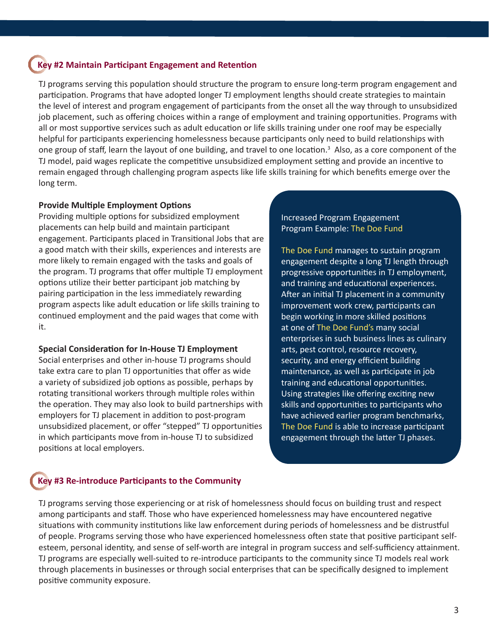## **Key #2 Maintain Participant Engagement and Retention**

TJ programs serving this population should structure the program to ensure long-term program engagement and participation. Programs that have adopted longer TJ employment lengths should create strategies to maintain the level of interest and program engagement of participants from the onset all the way through to unsubsidized job placement, such as offering choices within a range of employment and training opportunities. Programs with all or most supportive services such as adult education or life skills training under one roof may be especially helpful for participants experiencing homelessness because participants only need to build relationships with one group of staff, learn the layout of one building, and travel to one location.<sup>3</sup> Also, as a core component of the TJ model, paid wages replicate the competitive unsubsidized employment setting and provide an incentive to remain engaged through challenging program aspects like life skills training for which benefits emerge over the long term.

#### **Provide Multiple Employment Options**

Providing multiple options for subsidized employment placements can help build and maintain participant engagement. Participants placed in Transitional Jobs that are a good match with their skills, experiences and interests are more likely to remain engaged with the tasks and goals of the program. TJ programs that offer multiple TJ employment options utilize their better participant job matching by pairing participation in the less immediately rewarding program aspects like adult education or life skills training to continued employment and the paid wages that come with it.

#### **Special Consideration for In-House TJ Employment**

Social enterprises and other in-house TJ programs should take extra care to plan TJ opportunities that offer as wide a variety of subsidized job options as possible, perhaps by rotating transitional workers through multiple roles within the operation. They may also look to build partnerships with employers for TJ placement in addition to post-program unsubsidized placement, or offer "stepped" TJ opportunities in which participants move from in-house TJ to subsidized positions at local employers.

Increased Program Engagement Program Example: [The Doe Fund](http://www.doe.org)

[The Doe Fund](http://www.doe.org) manages to sustain program engagement despite a long TJ length through progressive opportunities in TJ employment, and training and educational experiences. After an initial TJ placement in a community improvement work crew, participants can begin working in more skilled positions at one of [The Doe Fund](http://www.doe.org)'s many social enterprises in such business lines as culinary arts, pest control, resource recovery, security, and energy efficient building maintenance, as well as participate in job training and educational opportunities. Using strategies like offering exciting new skills and opportunities to participants who have achieved earlier program benchmarks, [The Doe Fund](http://www.doe.org) is able to increase participant engagement through the latter TJ phases.

# **Key #3 Re-introduce Participants to the Community**

TJ programs serving those experiencing or at risk of homelessness should focus on building trust and respect among participants and staff. Those who have experienced homelessness may have encountered negative situations with community institutions like law enforcement during periods of homelessness and be distrustful of people. Programs serving those who have experienced homelessness often state that positive participant selfesteem, personal identity, and sense of self-worth are integral in program success and self-sufficiency attainment. TJ programs are especially well-suited to re-introduce participants to the community since TJ models real work through placements in businesses or through social enterprises that can be specifically designed to implement positive community exposure.